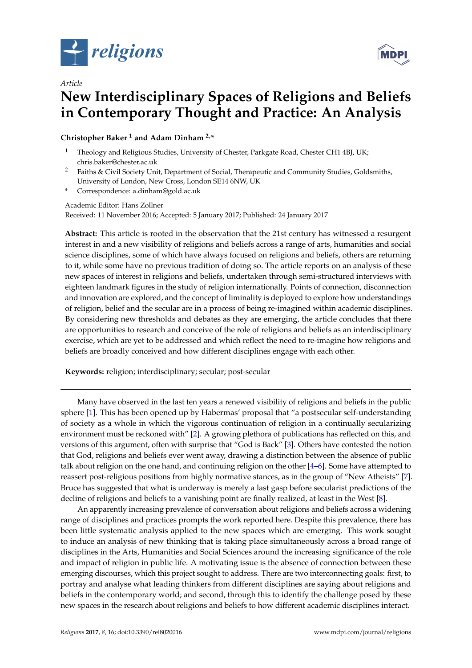

*Article*



# **New Interdisciplinary Spaces of Religions and Beliefs in Contemporary Thought and Practice: An Analysis**

**Christopher Baker <sup>1</sup> and Adam Dinham 2,\***

- <sup>1</sup> Theology and Religious Studies, University of Chester, Parkgate Road, Chester CH1 4BJ, UK; chris.baker@chester.ac.uk
- <sup>2</sup> Faiths & Civil Society Unit, Department of Social, Therapeutic and Community Studies, Goldsmiths, University of London, New Cross, London SE14 6NW, UK
- **\*** Correspondence: a.dinham@gold.ac.uk

Academic Editor: Hans Zollner

Received: 11 November 2016; Accepted: 5 January 2017; Published: 24 January 2017

**Abstract:** This article is rooted in the observation that the 21st century has witnessed a resurgent interest in and a new visibility of religions and beliefs across a range of arts, humanities and social science disciplines, some of which have always focused on religions and beliefs, others are returning to it, while some have no previous tradition of doing so. The article reports on an analysis of these new spaces of interest in religions and beliefs, undertaken through semi-structured interviews with eighteen landmark figures in the study of religion internationally. Points of connection, disconnection and innovation are explored, and the concept of liminality is deployed to explore how understandings of religion, belief and the secular are in a process of being re-imagined within academic disciplines. By considering new thresholds and debates as they are emerging, the article concludes that there are opportunities to research and conceive of the role of religions and beliefs as an interdisciplinary exercise, which are yet to be addressed and which reflect the need to re-imagine how religions and beliefs are broadly conceived and how different disciplines engage with each other.

**Keywords:** religion; interdisciplinary; secular; post-secular

Many have observed in the last ten years a renewed visibility of religions and beliefs in the public sphere [\[1\]](#page-10-0). This has been opened up by Habermas' proposal that "a postsecular self-understanding of society as a whole in which the vigorous continuation of religion in a continually secularizing environment must be reckoned with" [\[2\]](#page-10-1). A growing plethora of publications has reflected on this, and versions of this argument, often with surprise that "God is Back" [\[3\]](#page-11-0). Others have contested the notion that God, religions and beliefs ever went away, drawing a distinction between the absence of public talk about religion on the one hand, and continuing religion on the other [\[4](#page-11-1)[–6\]](#page-11-2). Some have attempted to reassert post-religious positions from highly normative stances, as in the group of "New Atheists" [\[7\]](#page-11-3). Bruce has suggested that what is underway is merely a last gasp before secularist predictions of the decline of religions and beliefs to a vanishing point are finally realized, at least in the West [\[8\]](#page-11-4).

An apparently increasing prevalence of conversation about religions and beliefs across a widening range of disciplines and practices prompts the work reported here. Despite this prevalence, there has been little systematic analysis applied to the new spaces which are emerging. This work sought to induce an analysis of new thinking that is taking place simultaneously across a broad range of disciplines in the Arts, Humanities and Social Sciences around the increasing significance of the role and impact of religion in public life. A motivating issue is the absence of connection between these emerging discourses, which this project sought to address. There are two interconnecting goals: first, to portray and analyse what leading thinkers from different disciplines are saying about religions and beliefs in the contemporary world; and second, through this to identify the challenge posed by these new spaces in the research about religions and beliefs to how different academic disciplines interact.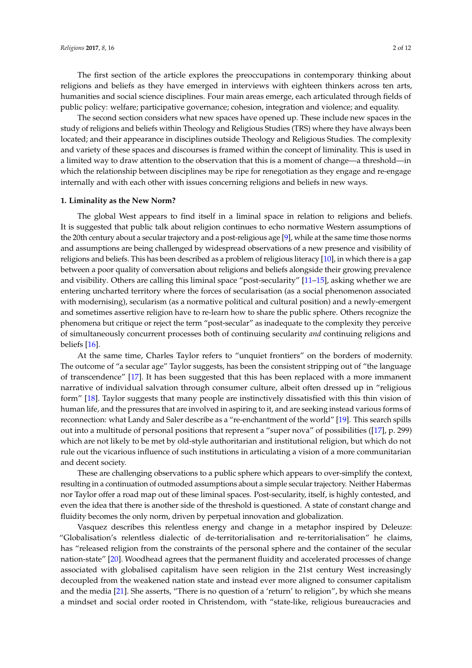The first section of the article explores the preoccupations in contemporary thinking about religions and beliefs as they have emerged in interviews with eighteen thinkers across ten arts, humanities and social science disciplines. Four main areas emerge, each articulated through fields of public policy: welfare; participative governance; cohesion, integration and violence; and equality.

The second section considers what new spaces have opened up. These include new spaces in the study of religions and beliefs within Theology and Religious Studies (TRS) where they have always been located; and their appearance in disciplines outside Theology and Religious Studies. The complexity and variety of these spaces and discourses is framed within the concept of liminality. This is used in a limited way to draw attention to the observation that this is a moment of change—a threshold—in which the relationship between disciplines may be ripe for renegotiation as they engage and re-engage internally and with each other with issues concerning religions and beliefs in new ways.

# **1. Liminality as the New Norm?**

The global West appears to find itself in a liminal space in relation to religions and beliefs. It is suggested that public talk about religion continues to echo normative Western assumptions of the 20th century about a secular trajectory and a post-religious age [\[9\]](#page-11-5), while at the same time those norms and assumptions are being challenged by widespread observations of a new presence and visibility of religions and beliefs. This has been described as a problem of religious literacy [\[10\]](#page-11-6), in which there is a gap between a poor quality of conversation about religions and beliefs alongside their growing prevalence and visibility. Others are calling this liminal space "post-secularity" [\[11](#page-11-7)[–15\]](#page-11-8), asking whether we are entering uncharted territory where the forces of secularisation (as a social phenomenon associated with modernising), secularism (as a normative political and cultural position) and a newly-emergent and sometimes assertive religion have to re-learn how to share the public sphere. Others recognize the phenomena but critique or reject the term "post-secular" as inadequate to the complexity they perceive of simultaneously concurrent processes both of continuing secularity *and* continuing religions and beliefs [\[16\]](#page-11-9).

At the same time, Charles Taylor refers to "unquiet frontiers" on the borders of modernity. The outcome of "a secular age" Taylor suggests, has been the consistent stripping out of "the language of transcendence" [\[17\]](#page-11-10). It has been suggested that this has been replaced with a more immanent narrative of individual salvation through consumer culture, albeit often dressed up in "religious form" [\[18\]](#page-11-11). Taylor suggests that many people are instinctively dissatisfied with this thin vision of human life, and the pressures that are involved in aspiring to it, and are seeking instead various forms of reconnection: what Landy and Saler describe as a "re-enchantment of the world" [\[19\]](#page-11-12). This search spills out into a multitude of personal positions that represent a "super nova" of possibilities ([\[17\]](#page-11-10), p. 299) which are not likely to be met by old-style authoritarian and institutional religion, but which do not rule out the vicarious influence of such institutions in articulating a vision of a more communitarian and decent society.

These are challenging observations to a public sphere which appears to over-simplify the context, resulting in a continuation of outmoded assumptions about a simple secular trajectory. Neither Habermas nor Taylor offer a road map out of these liminal spaces. Post-secularity, itself, is highly contested, and even the idea that there is another side of the threshold is questioned. A state of constant change and fluidity becomes the only norm, driven by perpetual innovation and globalization.

Vasquez describes this relentless energy and change in a metaphor inspired by Deleuze: "Globalisation's relentless dialectic of de-territorialisation and re-territorialisation" he claims, has "released religion from the constraints of the personal sphere and the container of the secular nation-state" [\[20\]](#page-11-13). Woodhead agrees that the permanent fluidity and accelerated processes of change associated with globalised capitalism have seen religion in the 21st century West increasingly decoupled from the weakened nation state and instead ever more aligned to consumer capitalism and the media [\[21\]](#page-11-14). She asserts, "There is no question of a 'return' to religion", by which she means a mindset and social order rooted in Christendom, with "state-like, religious bureaucracies and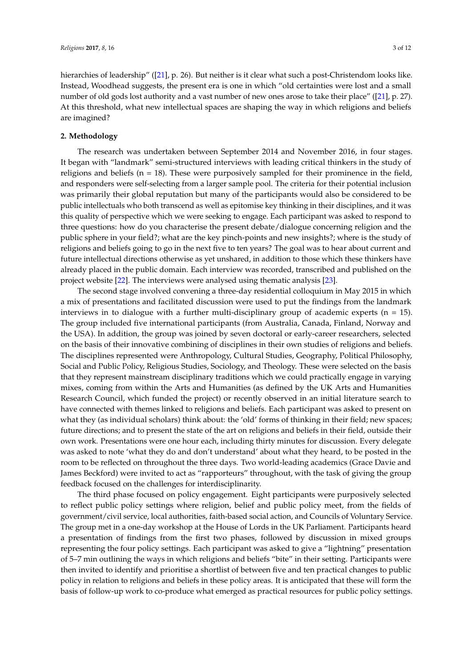hierarchies of leadership" ([\[21\]](#page-11-14), p. 26). But neither is it clear what such a post-Christendom looks like. Instead, Woodhead suggests, the present era is one in which "old certainties were lost and a small number of old gods lost authority and a vast number of new ones arose to take their place" ([\[21\]](#page-11-14), p. 27). At this threshold, what new intellectual spaces are shaping the way in which religions and beliefs are imagined?

## **2. Methodology**

The research was undertaken between September 2014 and November 2016, in four stages. It began with "landmark" semi-structured interviews with leading critical thinkers in the study of religions and beliefs ( $n = 18$ ). These were purposively sampled for their prominence in the field, and responders were self-selecting from a larger sample pool. The criteria for their potential inclusion was primarily their global reputation but many of the participants would also be considered to be public intellectuals who both transcend as well as epitomise key thinking in their disciplines, and it was this quality of perspective which we were seeking to engage. Each participant was asked to respond to three questions: how do you characterise the present debate/dialogue concerning religion and the public sphere in your field?; what are the key pinch-points and new insights?; where is the study of religions and beliefs going to go in the next five to ten years? The goal was to hear about current and future intellectual directions otherwise as yet unshared, in addition to those which these thinkers have already placed in the public domain. Each interview was recorded, transcribed and published on the project website [\[22\]](#page-11-15). The interviews were analysed using thematic analysis [\[23\]](#page-11-16).

The second stage involved convening a three-day residential colloquium in May 2015 in which a mix of presentations and facilitated discussion were used to put the findings from the landmark interviews in to dialogue with a further multi-disciplinary group of academic experts ( $n = 15$ ). The group included five international participants (from Australia, Canada, Finland, Norway and the USA). In addition, the group was joined by seven doctoral or early-career researchers, selected on the basis of their innovative combining of disciplines in their own studies of religions and beliefs. The disciplines represented were Anthropology, Cultural Studies, Geography, Political Philosophy, Social and Public Policy, Religious Studies, Sociology, and Theology. These were selected on the basis that they represent mainstream disciplinary traditions which we could practically engage in varying mixes, coming from within the Arts and Humanities (as defined by the UK Arts and Humanities Research Council, which funded the project) or recently observed in an initial literature search to have connected with themes linked to religions and beliefs. Each participant was asked to present on what they (as individual scholars) think about: the 'old' forms of thinking in their field; new spaces; future directions; and to present the state of the art on religions and beliefs in their field, outside their own work. Presentations were one hour each, including thirty minutes for discussion. Every delegate was asked to note 'what they do and don't understand' about what they heard, to be posted in the room to be reflected on throughout the three days. Two world-leading academics (Grace Davie and James Beckford) were invited to act as "rapporteurs" throughout, with the task of giving the group feedback focused on the challenges for interdisciplinarity.

The third phase focused on policy engagement. Eight participants were purposively selected to reflect public policy settings where religion, belief and public policy meet, from the fields of government/civil service, local authorities, faith-based social action, and Councils of Voluntary Service. The group met in a one-day workshop at the House of Lords in the UK Parliament. Participants heard a presentation of findings from the first two phases, followed by discussion in mixed groups representing the four policy settings. Each participant was asked to give a "lightning" presentation of 5–7 min outlining the ways in which religions and beliefs "bite" in their setting. Participants were then invited to identify and prioritise a shortlist of between five and ten practical changes to public policy in relation to religions and beliefs in these policy areas. It is anticipated that these will form the basis of follow-up work to co-produce what emerged as practical resources for public policy settings.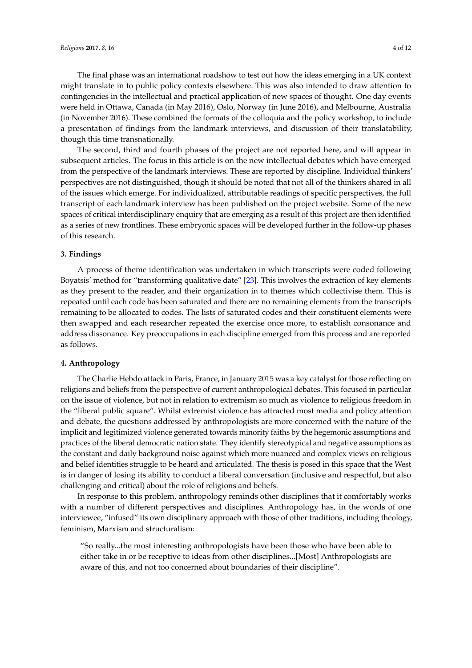The final phase was an international roadshow to test out how the ideas emerging in a UK context might translate in to public policy contexts elsewhere. This was also intended to draw attention to contingencies in the intellectual and practical application of new spaces of thought. One day events were held in Ottawa, Canada (in May 2016), Oslo, Norway (in June 2016), and Melbourne, Australia (in November 2016). These combined the formats of the colloquia and the policy workshop, to include a presentation of findings from the landmark interviews, and discussion of their translatability, though this time transnationally.

The second, third and fourth phases of the project are not reported here, and will appear in subsequent articles. The focus in this article is on the new intellectual debates which have emerged from the perspective of the landmark interviews. These are reported by discipline. Individual thinkers' perspectives are not distinguished, though it should be noted that not all of the thinkers shared in all of the issues which emerge. For individualized, attributable readings of specific perspectives, the full transcript of each landmark interview has been published on the project website. Some of the new spaces of critical interdisciplinary enquiry that are emerging as a result of this project are then identified as a series of new frontlines. These embryonic spaces will be developed further in the follow-up phases of this research.

# **3. Findings**

A process of theme identification was undertaken in which transcripts were coded following Boyatsis' method for "transforming qualitative date" [\[23\]](#page-11-16). This involves the extraction of key elements as they present to the reader, and their organization in to themes which collectivise them. This is repeated until each code has been saturated and there are no remaining elements from the transcripts remaining to be allocated to codes. The lists of saturated codes and their constituent elements were then swapped and each researcher repeated the exercise once more, to establish consonance and address dissonance. Key preoccupations in each discipline emerged from this process and are reported as follows.

#### **4. Anthropology**

The Charlie Hebdo attack in Paris, France, in January 2015 was a key catalyst for those reflecting on religions and beliefs from the perspective of current anthropological debates. This focused in particular on the issue of violence, but not in relation to extremism so much as violence to religious freedom in the "liberal public square". Whilst extremist violence has attracted most media and policy attention and debate, the questions addressed by anthropologists are more concerned with the nature of the implicit and legitimized violence generated towards minority faiths by the hegemonic assumptions and practices of the liberal democratic nation state. They identify stereotypical and negative assumptions as the constant and daily background noise against which more nuanced and complex views on religious and belief identities struggle to be heard and articulated. The thesis is posed in this space that the West is in danger of losing its ability to conduct a liberal conversation (inclusive and respectful, but also challenging and critical) about the role of religions and beliefs.

In response to this problem, anthropology reminds other disciplines that it comfortably works with a number of different perspectives and disciplines. Anthropology has, in the words of one interviewee, "infused" its own disciplinary approach with those of other traditions, including theology, feminism, Marxism and structuralism:

"So really...the most interesting anthropologists have been those who have been able to either take in or be receptive to ideas from other disciplines...[Most] Anthropologists are aware of this, and not too concerned about boundaries of their discipline".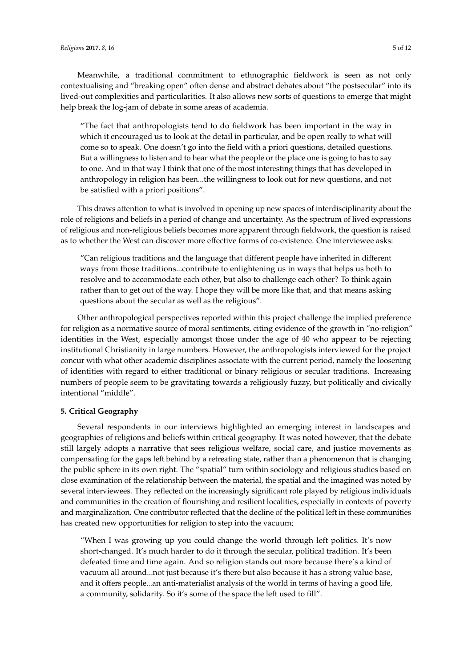Meanwhile, a traditional commitment to ethnographic fieldwork is seen as not only contextualising and "breaking open" often dense and abstract debates about "the postsecular" into its lived-out complexities and particularities. It also allows new sorts of questions to emerge that might help break the log-jam of debate in some areas of academia.

"The fact that anthropologists tend to do fieldwork has been important in the way in which it encouraged us to look at the detail in particular, and be open really to what will come so to speak. One doesn't go into the field with a priori questions, detailed questions. But a willingness to listen and to hear what the people or the place one is going to has to say to one. And in that way I think that one of the most interesting things that has developed in anthropology in religion has been...the willingness to look out for new questions, and not be satisfied with a priori positions".

This draws attention to what is involved in opening up new spaces of interdisciplinarity about the role of religions and beliefs in a period of change and uncertainty. As the spectrum of lived expressions of religious and non-religious beliefs becomes more apparent through fieldwork, the question is raised as to whether the West can discover more effective forms of co-existence. One interviewee asks:

"Can religious traditions and the language that different people have inherited in different ways from those traditions...contribute to enlightening us in ways that helps us both to resolve and to accommodate each other, but also to challenge each other? To think again rather than to get out of the way. I hope they will be more like that, and that means asking questions about the secular as well as the religious".

Other anthropological perspectives reported within this project challenge the implied preference for religion as a normative source of moral sentiments, citing evidence of the growth in "no-religion" identities in the West, especially amongst those under the age of 40 who appear to be rejecting institutional Christianity in large numbers. However, the anthropologists interviewed for the project concur with what other academic disciplines associate with the current period, namely the loosening of identities with regard to either traditional or binary religious or secular traditions. Increasing numbers of people seem to be gravitating towards a religiously fuzzy, but politically and civically intentional "middle".

# **5. Critical Geography**

Several respondents in our interviews highlighted an emerging interest in landscapes and geographies of religions and beliefs within critical geography. It was noted however, that the debate still largely adopts a narrative that sees religious welfare, social care, and justice movements as compensating for the gaps left behind by a retreating state, rather than a phenomenon that is changing the public sphere in its own right. The "spatial" turn within sociology and religious studies based on close examination of the relationship between the material, the spatial and the imagined was noted by several interviewees. They reflected on the increasingly significant role played by religious individuals and communities in the creation of flourishing and resilient localities, especially in contexts of poverty and marginalization. One contributor reflected that the decline of the political left in these communities has created new opportunities for religion to step into the vacuum;

"When I was growing up you could change the world through left politics. It's now short-changed. It's much harder to do it through the secular, political tradition. It's been defeated time and time again. And so religion stands out more because there's a kind of vacuum all around...not just because it's there but also because it has a strong value base, and it offers people...an anti-materialist analysis of the world in terms of having a good life, a community, solidarity. So it's some of the space the left used to fill".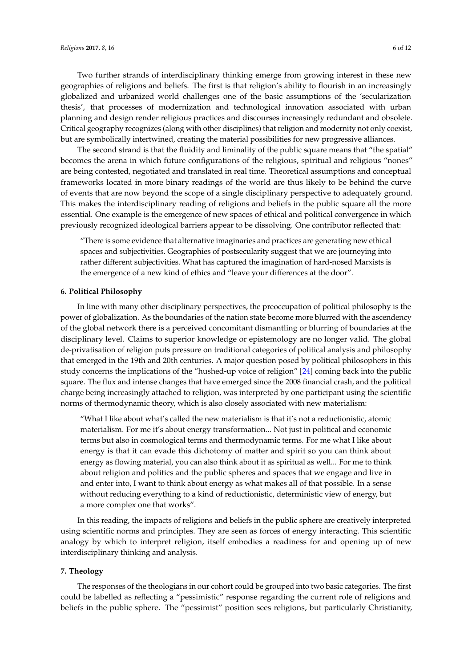Two further strands of interdisciplinary thinking emerge from growing interest in these new geographies of religions and beliefs. The first is that religion's ability to flourish in an increasingly globalized and urbanized world challenges one of the basic assumptions of the 'secularization thesis', that processes of modernization and technological innovation associated with urban planning and design render religious practices and discourses increasingly redundant and obsolete. Critical geography recognizes (along with other disciplines) that religion and modernity not only coexist, but are symbolically intertwined, creating the material possibilities for new progressive alliances.

The second strand is that the fluidity and liminality of the public square means that "the spatial" becomes the arena in which future configurations of the religious, spiritual and religious "nones" are being contested, negotiated and translated in real time. Theoretical assumptions and conceptual frameworks located in more binary readings of the world are thus likely to be behind the curve of events that are now beyond the scope of a single disciplinary perspective to adequately ground. This makes the interdisciplinary reading of religions and beliefs in the public square all the more essential. One example is the emergence of new spaces of ethical and political convergence in which previously recognized ideological barriers appear to be dissolving. One contributor reflected that:

"There is some evidence that alternative imaginaries and practices are generating new ethical spaces and subjectivities. Geographies of postsecularity suggest that we are journeying into rather different subjectivities. What has captured the imagination of hard-nosed Marxists is the emergence of a new kind of ethics and "leave your differences at the door".

# **6. Political Philosophy**

In line with many other disciplinary perspectives, the preoccupation of political philosophy is the power of globalization. As the boundaries of the nation state become more blurred with the ascendency of the global network there is a perceived concomitant dismantling or blurring of boundaries at the disciplinary level. Claims to superior knowledge or epistemology are no longer valid. The global de-privatisation of religion puts pressure on traditional categories of political analysis and philosophy that emerged in the 19th and 20th centuries. A major question posed by political philosophers in this study concerns the implications of the "hushed-up voice of religion" [\[24\]](#page-11-17) coming back into the public square. The flux and intense changes that have emerged since the 2008 financial crash, and the political charge being increasingly attached to religion, was interpreted by one participant using the scientific norms of thermodynamic theory, which is also closely associated with new materialism:

"What I like about what's called the new materialism is that it's not a reductionistic, atomic materialism. For me it's about energy transformation... Not just in political and economic terms but also in cosmological terms and thermodynamic terms. For me what I like about energy is that it can evade this dichotomy of matter and spirit so you can think about energy as flowing material, you can also think about it as spiritual as well... For me to think about religion and politics and the public spheres and spaces that we engage and live in and enter into, I want to think about energy as what makes all of that possible. In a sense without reducing everything to a kind of reductionistic, deterministic view of energy, but a more complex one that works".

In this reading, the impacts of religions and beliefs in the public sphere are creatively interpreted using scientific norms and principles. They are seen as forces of energy interacting. This scientific analogy by which to interpret religion, itself embodies a readiness for and opening up of new interdisciplinary thinking and analysis.

#### **7. Theology**

The responses of the theologians in our cohort could be grouped into two basic categories. The first could be labelled as reflecting a "pessimistic" response regarding the current role of religions and beliefs in the public sphere. The "pessimist" position sees religions, but particularly Christianity,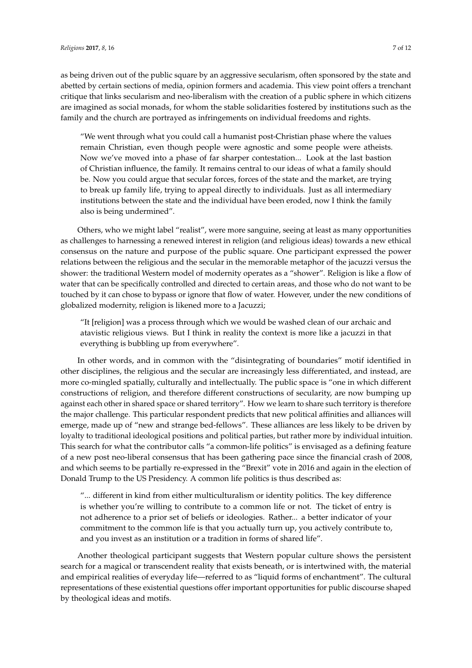as being driven out of the public square by an aggressive secularism, often sponsored by the state and abetted by certain sections of media, opinion formers and academia. This view point offers a trenchant critique that links secularism and neo-liberalism with the creation of a public sphere in which citizens are imagined as social monads, for whom the stable solidarities fostered by institutions such as the family and the church are portrayed as infringements on individual freedoms and rights.

"We went through what you could call a humanist post-Christian phase where the values remain Christian, even though people were agnostic and some people were atheists. Now we've moved into a phase of far sharper contestation... Look at the last bastion of Christian influence, the family. It remains central to our ideas of what a family should be. Now you could argue that secular forces, forces of the state and the market, are trying to break up family life, trying to appeal directly to individuals. Just as all intermediary institutions between the state and the individual have been eroded, now I think the family also is being undermined".

Others, who we might label "realist", were more sanguine, seeing at least as many opportunities as challenges to harnessing a renewed interest in religion (and religious ideas) towards a new ethical consensus on the nature and purpose of the public square. One participant expressed the power relations between the religious and the secular in the memorable metaphor of the jacuzzi versus the shower: the traditional Western model of modernity operates as a "shower". Religion is like a flow of water that can be specifically controlled and directed to certain areas, and those who do not want to be touched by it can chose to bypass or ignore that flow of water. However, under the new conditions of globalized modernity, religion is likened more to a Jacuzzi;

"It [religion] was a process through which we would be washed clean of our archaic and atavistic religious views. But I think in reality the context is more like a jacuzzi in that everything is bubbling up from everywhere".

In other words, and in common with the "disintegrating of boundaries" motif identified in other disciplines, the religious and the secular are increasingly less differentiated, and instead, are more co-mingled spatially, culturally and intellectually. The public space is "one in which different constructions of religion, and therefore different constructions of secularity, are now bumping up against each other in shared space or shared territory". How we learn to share such territory is therefore the major challenge. This particular respondent predicts that new political affinities and alliances will emerge, made up of "new and strange bed-fellows". These alliances are less likely to be driven by loyalty to traditional ideological positions and political parties, but rather more by individual intuition. This search for what the contributor calls "a common-life politics" is envisaged as a defining feature of a new post neo-liberal consensus that has been gathering pace since the financial crash of 2008, and which seems to be partially re-expressed in the "Brexit" vote in 2016 and again in the election of Donald Trump to the US Presidency. A common life politics is thus described as:

"... different in kind from either multiculturalism or identity politics. The key difference is whether you're willing to contribute to a common life or not. The ticket of entry is not adherence to a prior set of beliefs or ideologies. Rather... a better indicator of your commitment to the common life is that you actually turn up, you actively contribute to, and you invest as an institution or a tradition in forms of shared life".

Another theological participant suggests that Western popular culture shows the persistent search for a magical or transcendent reality that exists beneath, or is intertwined with, the material and empirical realities of everyday life—referred to as "liquid forms of enchantment". The cultural representations of these existential questions offer important opportunities for public discourse shaped by theological ideas and motifs.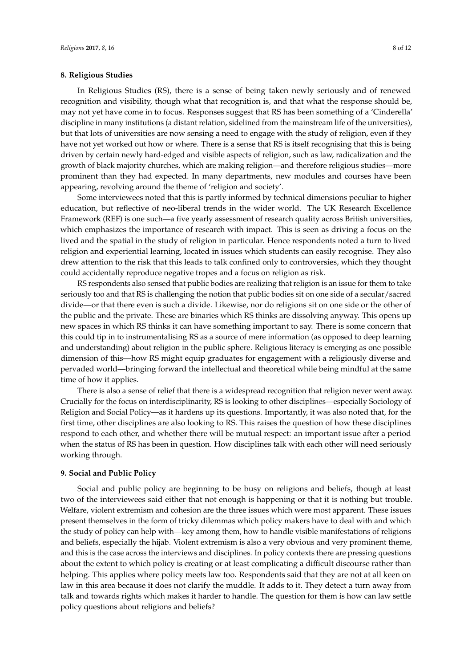## **8. Religious Studies**

In Religious Studies (RS), there is a sense of being taken newly seriously and of renewed recognition and visibility, though what that recognition is, and that what the response should be, may not yet have come in to focus. Responses suggest that RS has been something of a 'Cinderella' discipline in many institutions (a distant relation, sidelined from the mainstream life of the universities), but that lots of universities are now sensing a need to engage with the study of religion, even if they have not yet worked out how or where. There is a sense that RS is itself recognising that this is being driven by certain newly hard-edged and visible aspects of religion, such as law, radicalization and the growth of black majority churches, which are making religion—and therefore religious studies—more prominent than they had expected. In many departments, new modules and courses have been appearing, revolving around the theme of 'religion and society'.

Some interviewees noted that this is partly informed by technical dimensions peculiar to higher education, but reflective of neo-liberal trends in the wider world. The UK Research Excellence Framework (REF) is one such—a five yearly assessment of research quality across British universities, which emphasizes the importance of research with impact. This is seen as driving a focus on the lived and the spatial in the study of religion in particular. Hence respondents noted a turn to lived religion and experiential learning, located in issues which students can easily recognise. They also drew attention to the risk that this leads to talk confined only to controversies, which they thought could accidentally reproduce negative tropes and a focus on religion as risk.

RS respondents also sensed that public bodies are realizing that religion is an issue for them to take seriously too and that RS is challenging the notion that public bodies sit on one side of a secular/sacred divide—or that there even is such a divide. Likewise, nor do religions sit on one side or the other of the public and the private. These are binaries which RS thinks are dissolving anyway. This opens up new spaces in which RS thinks it can have something important to say. There is some concern that this could tip in to instrumentalising RS as a source of mere information (as opposed to deep learning and understanding) about religion in the public sphere. Religious literacy is emerging as one possible dimension of this—how RS might equip graduates for engagement with a religiously diverse and pervaded world—bringing forward the intellectual and theoretical while being mindful at the same time of how it applies.

There is also a sense of relief that there is a widespread recognition that religion never went away. Crucially for the focus on interdisciplinarity, RS is looking to other disciplines—especially Sociology of Religion and Social Policy—as it hardens up its questions. Importantly, it was also noted that, for the first time, other disciplines are also looking to RS. This raises the question of how these disciplines respond to each other, and whether there will be mutual respect: an important issue after a period when the status of RS has been in question. How disciplines talk with each other will need seriously working through.

#### **9. Social and Public Policy**

Social and public policy are beginning to be busy on religions and beliefs, though at least two of the interviewees said either that not enough is happening or that it is nothing but trouble. Welfare, violent extremism and cohesion are the three issues which were most apparent. These issues present themselves in the form of tricky dilemmas which policy makers have to deal with and which the study of policy can help with—key among them, how to handle visible manifestations of religions and beliefs, especially the hijab. Violent extremism is also a very obvious and very prominent theme, and this is the case across the interviews and disciplines. In policy contexts there are pressing questions about the extent to which policy is creating or at least complicating a difficult discourse rather than helping. This applies where policy meets law too. Respondents said that they are not at all keen on law in this area because it does not clarify the muddle. It adds to it. They detect a turn away from talk and towards rights which makes it harder to handle. The question for them is how can law settle policy questions about religions and beliefs?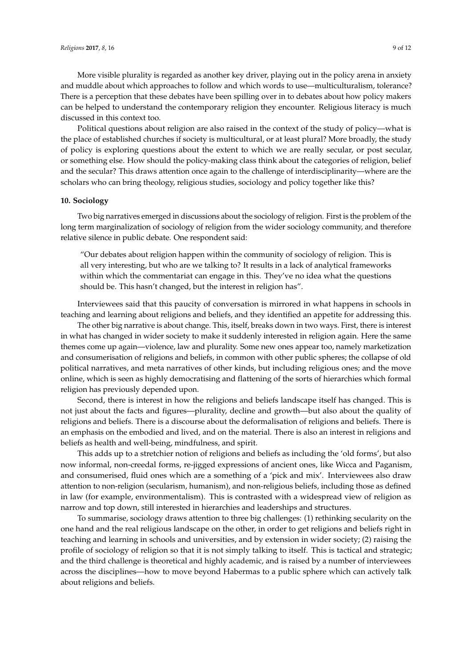More visible plurality is regarded as another key driver, playing out in the policy arena in anxiety and muddle about which approaches to follow and which words to use—multiculturalism, tolerance? There is a perception that these debates have been spilling over in to debates about how policy makers can be helped to understand the contemporary religion they encounter. Religious literacy is much discussed in this context too.

Political questions about religion are also raised in the context of the study of policy—what is the place of established churches if society is multicultural, or at least plural? More broadly, the study of policy is exploring questions about the extent to which we are really secular, or post secular, or something else. How should the policy-making class think about the categories of religion, belief and the secular? This draws attention once again to the challenge of interdisciplinarity—where are the scholars who can bring theology, religious studies, sociology and policy together like this?

#### **10. Sociology**

Two big narratives emerged in discussions about the sociology of religion. First is the problem of the long term marginalization of sociology of religion from the wider sociology community, and therefore relative silence in public debate. One respondent said:

"Our debates about religion happen within the community of sociology of religion. This is all very interesting, but who are we talking to? It results in a lack of analytical frameworks within which the commentariat can engage in this. They've no idea what the questions should be. This hasn't changed, but the interest in religion has".

Interviewees said that this paucity of conversation is mirrored in what happens in schools in teaching and learning about religions and beliefs, and they identified an appetite for addressing this.

The other big narrative is about change. This, itself, breaks down in two ways. First, there is interest in what has changed in wider society to make it suddenly interested in religion again. Here the same themes come up again—violence, law and plurality. Some new ones appear too, namely marketization and consumerisation of religions and beliefs, in common with other public spheres; the collapse of old political narratives, and meta narratives of other kinds, but including religious ones; and the move online, which is seen as highly democratising and flattening of the sorts of hierarchies which formal religion has previously depended upon.

Second, there is interest in how the religions and beliefs landscape itself has changed. This is not just about the facts and figures—plurality, decline and growth—but also about the quality of religions and beliefs. There is a discourse about the deformalisation of religions and beliefs. There is an emphasis on the embodied and lived, and on the material. There is also an interest in religions and beliefs as health and well-being, mindfulness, and spirit.

This adds up to a stretchier notion of religions and beliefs as including the 'old forms', but also now informal, non-creedal forms, re-jigged expressions of ancient ones, like Wicca and Paganism, and consumerised, fluid ones which are a something of a 'pick and mix'. Interviewees also draw attention to non-religion (secularism, humanism), and non-religious beliefs, including those as defined in law (for example, environmentalism). This is contrasted with a widespread view of religion as narrow and top down, still interested in hierarchies and leaderships and structures.

To summarise, sociology draws attention to three big challenges: (1) rethinking secularity on the one hand and the real religious landscape on the other, in order to get religions and beliefs right in teaching and learning in schools and universities, and by extension in wider society; (2) raising the profile of sociology of religion so that it is not simply talking to itself. This is tactical and strategic; and the third challenge is theoretical and highly academic, and is raised by a number of interviewees across the disciplines—how to move beyond Habermas to a public sphere which can actively talk about religions and beliefs.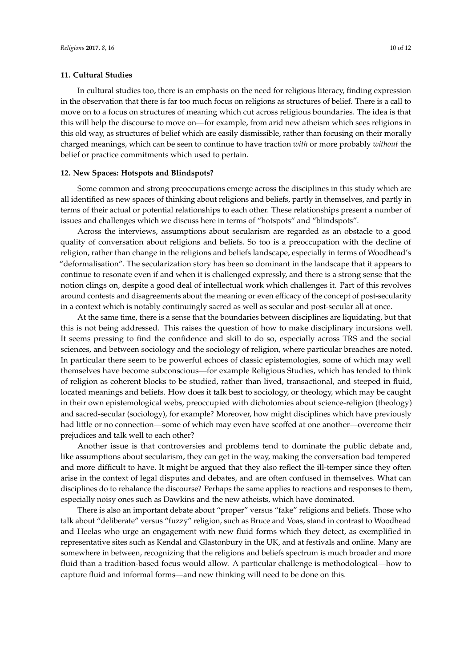#### **11. Cultural Studies**

In cultural studies too, there is an emphasis on the need for religious literacy, finding expression in the observation that there is far too much focus on religions as structures of belief. There is a call to move on to a focus on structures of meaning which cut across religious boundaries. The idea is that this will help the discourse to move on—for example, from arid new atheism which sees religions in this old way, as structures of belief which are easily dismissible, rather than focusing on their morally charged meanings, which can be seen to continue to have traction *with* or more probably *without* the belief or practice commitments which used to pertain.

#### **12. New Spaces: Hotspots and Blindspots?**

Some common and strong preoccupations emerge across the disciplines in this study which are all identified as new spaces of thinking about religions and beliefs, partly in themselves, and partly in terms of their actual or potential relationships to each other. These relationships present a number of issues and challenges which we discuss here in terms of "hotspots" and "blindspots".

Across the interviews, assumptions about secularism are regarded as an obstacle to a good quality of conversation about religions and beliefs. So too is a preoccupation with the decline of religion, rather than change in the religions and beliefs landscape, especially in terms of Woodhead's "deformalisation". The secularization story has been so dominant in the landscape that it appears to continue to resonate even if and when it is challenged expressly, and there is a strong sense that the notion clings on, despite a good deal of intellectual work which challenges it. Part of this revolves around contests and disagreements about the meaning or even efficacy of the concept of post-secularity in a context which is notably continuingly sacred as well as secular and post-secular all at once.

At the same time, there is a sense that the boundaries between disciplines are liquidating, but that this is not being addressed. This raises the question of how to make disciplinary incursions well. It seems pressing to find the confidence and skill to do so, especially across TRS and the social sciences, and between sociology and the sociology of religion, where particular breaches are noted. In particular there seem to be powerful echoes of classic epistemologies, some of which may well themselves have become subconscious—for example Religious Studies, which has tended to think of religion as coherent blocks to be studied, rather than lived, transactional, and steeped in fluid, located meanings and beliefs. How does it talk best to sociology, or theology, which may be caught in their own epistemological webs, preoccupied with dichotomies about science-religion (theology) and sacred-secular (sociology), for example? Moreover, how might disciplines which have previously had little or no connection—some of which may even have scoffed at one another—overcome their prejudices and talk well to each other?

Another issue is that controversies and problems tend to dominate the public debate and, like assumptions about secularism, they can get in the way, making the conversation bad tempered and more difficult to have. It might be argued that they also reflect the ill-temper since they often arise in the context of legal disputes and debates, and are often confused in themselves. What can disciplines do to rebalance the discourse? Perhaps the same applies to reactions and responses to them, especially noisy ones such as Dawkins and the new atheists, which have dominated.

There is also an important debate about "proper" versus "fake" religions and beliefs. Those who talk about "deliberate" versus "fuzzy" religion, such as Bruce and Voas, stand in contrast to Woodhead and Heelas who urge an engagement with new fluid forms which they detect, as exemplified in representative sites such as Kendal and Glastonbury in the UK, and at festivals and online. Many are somewhere in between, recognizing that the religions and beliefs spectrum is much broader and more fluid than a tradition-based focus would allow. A particular challenge is methodological—how to capture fluid and informal forms—and new thinking will need to be done on this.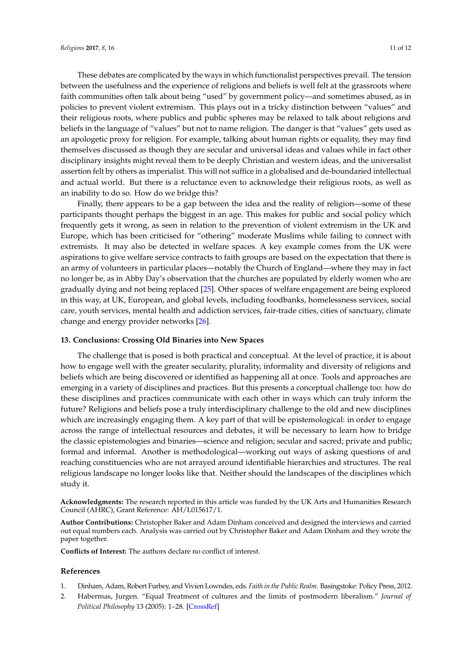These debates are complicated by the ways in which functionalist perspectives prevail. The tension between the usefulness and the experience of religions and beliefs is well felt at the grassroots where faith communities often talk about being "used" by government policy—and sometimes abused, as in policies to prevent violent extremism. This plays out in a tricky distinction between "values" and their religious roots, where publics and public spheres may be relaxed to talk about religions and beliefs in the language of "values" but not to name religion. The danger is that "values" gets used as an apologetic proxy for religion. For example, talking about human rights or equality, they may find themselves discussed as though they are secular and universal ideas and values while in fact other disciplinary insights might reveal them to be deeply Christian and western ideas, and the universalist assertion felt by others as imperialist. This will not suffice in a globalised and de-boundaried intellectual and actual world. But there is a reluctance even to acknowledge their religious roots, as well as an inability to do so. How do we bridge this?

Finally, there appears to be a gap between the idea and the reality of religion—some of these participants thought perhaps the biggest in an age. This makes for public and social policy which frequently gets it wrong, as seen in relation to the prevention of violent extremism in the UK and Europe, which has been criticised for "othering" moderate Muslims while failing to connect with extremists. It may also be detected in welfare spaces. A key example comes from the UK were aspirations to give welfare service contracts to faith groups are based on the expectation that there is an army of volunteers in particular places—notably the Church of England—where they may in fact no longer be, as in Abby Day's observation that the churches are populated by elderly women who are gradually dying and not being replaced [\[25\]](#page-11-18). Other spaces of welfare engagement are being explored in this way, at UK, European, and global levels, including foodbanks, homelessness services, social care, youth services, mental health and addiction services, fair-trade cities, cities of sanctuary, climate change and energy provider networks [\[26\]](#page-11-19).

# **13. Conclusions: Crossing Old Binaries into New Spaces**

The challenge that is posed is both practical and conceptual. At the level of practice, it is about how to engage well with the greater secularity, plurality, informality and diversity of religions and beliefs which are being discovered or identified as happening all at once. Tools and approaches are emerging in a variety of disciplines and practices. But this presents a conceptual challenge too: how do these disciplines and practices communicate with each other in ways which can truly inform the future? Religions and beliefs pose a truly interdisciplinary challenge to the old and new disciplines which are increasingly engaging them. A key part of that will be epistemological: in order to engage across the range of intellectual resources and debates, it will be necessary to learn how to bridge the classic epistemologies and binaries—science and religion; secular and sacred; private and public; formal and informal. Another is methodological—working out ways of asking questions of and reaching constituencies who are not arrayed around identifiable hierarchies and structures. The real religious landscape no longer looks like that. Neither should the landscapes of the disciplines which study it.

**Acknowledgments:** The research reported in this article was funded by the UK Arts and Humanities Research Council (AHRC), Grant Reference: AH/L015617/1.

**Author Contributions:** Christopher Baker and Adam Dinham conceived and designed the interviews and carried out equal numbers each. Analysis was carried out by Christopher Baker and Adam Dinham and they wrote the paper together.

**Conflicts of Interest:** The authors declare no conflict of interest.

# **References**

- <span id="page-10-0"></span>1. Dinham, Adam, Robert Furbey, and Vivien Lowndes, eds. *Faith in the Public Realm*. Basingstoke: Policy Press, 2012.
- <span id="page-10-1"></span>2. Habermas, Jurgen. "Equal Treatment of cultures and the limits of postmodern liberalism." *Journal of Political Philosophy* 13 (2005): 1–28. [\[CrossRef\]](http://dx.doi.org/10.1111/j.1467-9760.2005.00211.x)